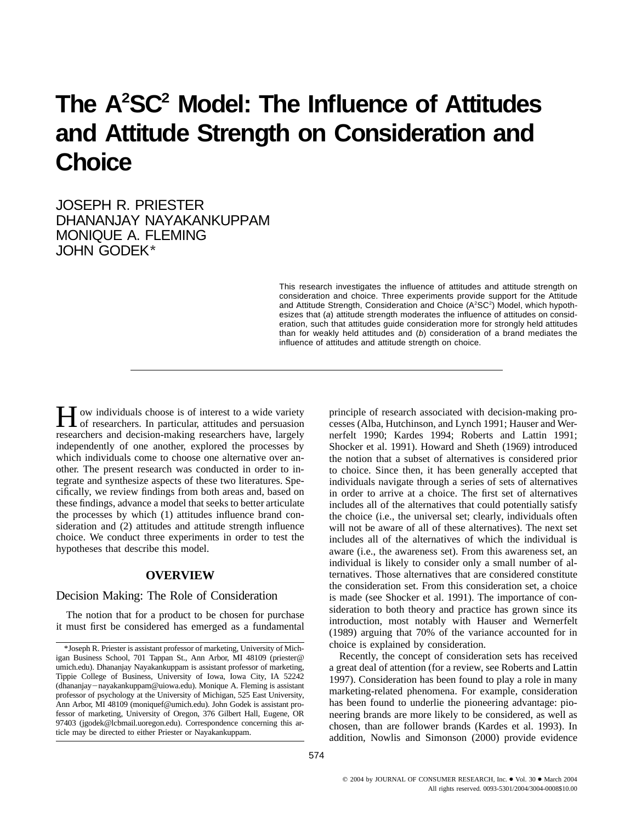

## **Journal of Consumer Research Inc.**

The A2SC2 Model: The Influence of Attitudes and Attitude Strength on Consideration and Choice

Author(s): Joseph R. Priester, Dhananjay Nayakankuppam, Monique A. Fleming, John Godek Source: The Journal of Consumer Research, Vol. 30, No. 4 (March 2004), pp. 574-587 Published by: [The University of Chicago Press](http://www.jstor.org/action/showPublisher?publisherCode=ucpress) Stable URL: http://www.jstor.org/stable/10.1086/380290

Accessed: 12/02/2011 13:47

Your use of the JSTOR archive indicates your acceptance of JSTOR's Terms and Conditions of Use, available at <http://www.jstor.org/page/info/about/policies/terms.jsp>. JSTOR's Terms and Conditions of Use provides, in part, that unless you have obtained prior permission, you may not download an entire issue of a journal or multiple copies of articles, and you may use content in the JSTOR archive only for your personal, non-commercial use.

Please contact the publisher regarding any further use of this work. Publisher contact information may be obtained at [http://www.jstor.org/action/showPublisher?publisherCode=ucpress.](http://www.jstor.org/action/showPublisher?publisherCode=ucpress)

Each copy of any part of a JSTOR transmission must contain the same copyright notice that appears on the screen or printed page of such transmission.

JSTOR is a not-for-profit service that helps scholars, researchers, and students discover, use, and build upon a wide range of content in a trusted digital archive. We use information technology and tools to increase productivity and facilitate new forms of scholarship. For more information about JSTOR, please contact support@jstor.org.



*The University of Chicago Press* and *Journal of Consumer Research Inc.* are collaborating with JSTOR to digitize, preserve and extend access to *The Journal of Consumer Research.*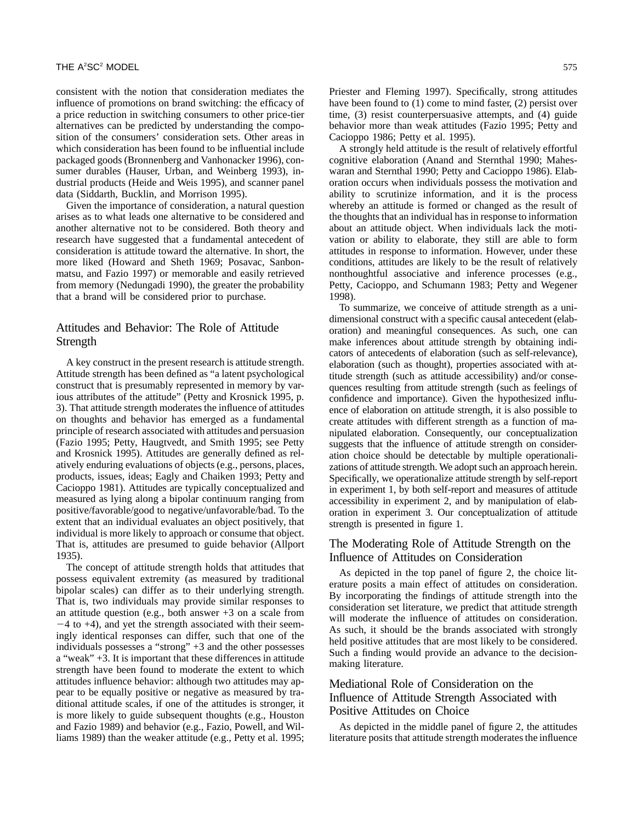# **The A2 SC2 Model: The Influence of Attitudes and Attitude Strength on Consideration and Choice**

JOSEPH R. PRIESTER DHANANJAY NAYAKANKUPPAM MONIQUE A. FLEMING JOHN GODEK\*

> This research investigates the influence of attitudes and attitude strength on consideration and choice. Three experiments provide support for the Attitude and Attitude Strength, Consideration and Choice  $(A<sup>2</sup>SC<sup>2</sup>)$  Model, which hypothesizes that (a) attitude strength moderates the influence of attitudes on consideration, such that attitudes guide consideration more for strongly held attitudes than for weakly held attitudes and  $(b)$  consideration of a brand mediates the influence of attitudes and attitude strength on choice.

How individuals choose is of interest to a wide variety of researchers. In particular, attitudes and persuasion researchers and decision-making researchers have, largely independently of one another, explored the processes by which individuals come to choose one alternative over another. The present research was conducted in order to integrate and synthesize aspects of these two literatures. Specifically, we review findings from both areas and, based on these findings, advance a model that seeks to better articulate the processes by which (1) attitudes influence brand consideration and (2) attitudes and attitude strength influence choice. We conduct three experiments in order to test the hypotheses that describe this model.

#### **OVERVIEW**

#### Decision Making: The Role of Consideration

The notion that for a product to be chosen for purchase it must first be considered has emerged as a fundamental principle of research associated with decision-making processes (Alba, Hutchinson, and Lynch 1991; Hauser and Wernerfelt 1990; Kardes 1994; Roberts and Lattin 1991; Shocker et al. 1991). Howard and Sheth (1969) introduced the notion that a subset of alternatives is considered prior to choice. Since then, it has been generally accepted that individuals navigate through a series of sets of alternatives in order to arrive at a choice. The first set of alternatives includes all of the alternatives that could potentially satisfy the choice (i.e., the universal set; clearly, individuals often will not be aware of all of these alternatives). The next set includes all of the alternatives of which the individual is aware (i.e., the awareness set). From this awareness set, an individual is likely to consider only a small number of alternatives. Those alternatives that are considered constitute the consideration set. From this consideration set, a choice is made (see Shocker et al. 1991). The importance of consideration to both theory and practice has grown since its introduction, most notably with Hauser and Wernerfelt (1989) arguing that 70% of the variance accounted for in choice is explained by consideration.

Recently, the concept of consideration sets has received a great deal of attention (for a review, see Roberts and Lattin 1997). Consideration has been found to play a role in many marketing-related phenomena. For example, consideration has been found to underlie the pioneering advantage: pioneering brands are more likely to be considered, as well as chosen, than are follower brands (Kardes et al. 1993). In addition, Nowlis and Simonson (2000) provide evidence

<sup>\*</sup>Joseph R. Priester is assistant professor of marketing, University of Michigan Business School, 701 Tappan St., Ann Arbor, MI 48109 (priester@ umich.edu). Dhananjay Nayakankuppam is assistant professor of marketing, Tippie College of Business, University of Iowa, Iowa City, IA 52242 (dhananjay-nayakankuppam@uiowa.edu). Monique A. Fleming is assistant professor of psychology at the University of Michigan, 525 East University, Ann Arbor, MI 48109 (moniquef@umich.edu). John Godek is assistant professor of marketing, University of Oregon, 376 Gilbert Hall, Eugene, OR 97403 (jgodek@lcbmail.uoregon.edu). Correspondence concerning this article may be directed to either Priester or Nayakankuppam.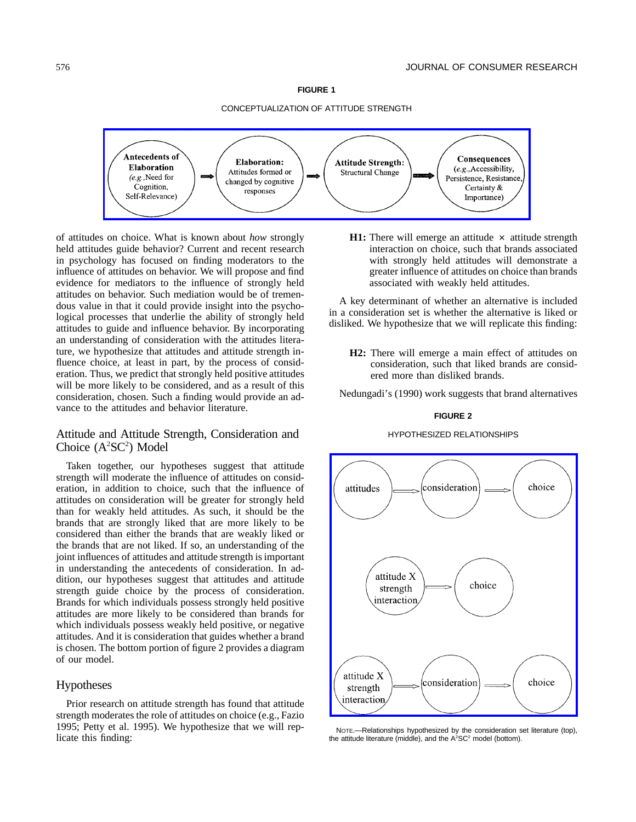consistent with the notion that consideration mediates the influence of promotions on brand switching: the efficacy of a price reduction in switching consumers to other price-tier alternatives can be predicted by understanding the composition of the consumers' consideration sets. Other areas in which consideration has been found to be influential include packaged goods (Bronnenberg and Vanhonacker 1996), consumer durables (Hauser, Urban, and Weinberg 1993), industrial products (Heide and Weis 1995), and scanner panel data (Siddarth, Bucklin, and Morrison 1995).

Given the importance of consideration, a natural question arises as to what leads one alternative to be considered and another alternative not to be considered. Both theory and research have suggested that a fundamental antecedent of consideration is attitude toward the alternative. In short, the more liked (Howard and Sheth 1969; Posavac, Sanbonmatsu, and Fazio 1997) or memorable and easily retrieved from memory (Nedungadi 1990), the greater the probability that a brand will be considered prior to purchase.

#### Attitudes and Behavior: The Role of Attitude Strength

A key construct in the present research is attitude strength. Attitude strength has been defined as "a latent psychological construct that is presumably represented in memory by various attributes of the attitude" (Petty and Krosnick 1995, p. 3). That attitude strength moderates the influence of attitudes on thoughts and behavior has emerged as a fundamental principle of research associated with attitudes and persuasion (Fazio 1995; Petty, Haugtvedt, and Smith 1995; see Petty and Krosnick 1995). Attitudes are generally defined as relatively enduring evaluations of objects (e.g., persons, places, products, issues, ideas; Eagly and Chaiken 1993; Petty and Cacioppo 1981). Attitudes are typically conceptualized and measured as lying along a bipolar continuum ranging from positive/favorable/good to negative/unfavorable/bad. To the extent that an individual evaluates an object positively, that individual is more likely to approach or consume that object. That is, attitudes are presumed to guide behavior (Allport 1935).

The concept of attitude strength holds that attitudes that possess equivalent extremity (as measured by traditional bipolar scales) can differ as to their underlying strength. That is, two individuals may provide similar responses to an attitude question (e.g., both answer  $+3$  on a scale from  $-4$  to  $+4$ ), and yet the strength associated with their seemingly identical responses can differ, such that one of the individuals possesses a "strong" +3 and the other possesses a "weak" +3. It is important that these differences in attitude strength have been found to moderate the extent to which attitudes influence behavior: although two attitudes may appear to be equally positive or negative as measured by traditional attitude scales, if one of the attitudes is stronger, it is more likely to guide subsequent thoughts (e.g., Houston and Fazio 1989) and behavior (e.g., Fazio, Powell, and Williams 1989) than the weaker attitude (e.g., Petty et al. 1995;

Priester and Fleming 1997). Specifically, strong attitudes have been found to (1) come to mind faster, (2) persist over time, (3) resist counterpersuasive attempts, and (4) guide behavior more than weak attitudes (Fazio 1995; Petty and Cacioppo 1986; Petty et al. 1995).

A strongly held attitude is the result of relatively effortful cognitive elaboration (Anand and Sternthal 1990; Maheswaran and Sternthal 1990; Petty and Cacioppo 1986). Elaboration occurs when individuals possess the motivation and ability to scrutinize information, and it is the process whereby an attitude is formed or changed as the result of the thoughts that an individual has in response to information about an attitude object. When individuals lack the motivation or ability to elaborate, they still are able to form attitudes in response to information. However, under these conditions, attitudes are likely to be the result of relatively nonthoughtful associative and inference processes (e.g., Petty, Cacioppo, and Schumann 1983; Petty and Wegener 1998).

To summarize, we conceive of attitude strength as a unidimensional construct with a specific causal antecedent (elaboration) and meaningful consequences. As such, one can make inferences about attitude strength by obtaining indicators of antecedents of elaboration (such as self-relevance), elaboration (such as thought), properties associated with attitude strength (such as attitude accessibility) and/or consequences resulting from attitude strength (such as feelings of confidence and importance). Given the hypothesized influence of elaboration on attitude strength, it is also possible to create attitudes with different strength as a function of manipulated elaboration. Consequently, our conceptualization suggests that the influence of attitude strength on consideration choice should be detectable by multiple operationalizations of attitude strength. We adopt such an approach herein. Specifically, we operationalize attitude strength by self-report in experiment 1, by both self-report and measures of attitude accessibility in experiment 2, and by manipulation of elaboration in experiment 3. Our conceptualization of attitude strength is presented in figure 1.

#### The Moderating Role of Attitude Strength on the Influence of Attitudes on Consideration

As depicted in the top panel of figure 2, the choice literature posits a main effect of attitudes on consideration. By incorporating the findings of attitude strength into the consideration set literature, we predict that attitude strength will moderate the influence of attitudes on consideration. As such, it should be the brands associated with strongly held positive attitudes that are most likely to be considered. Such a finding would provide an advance to the decisionmaking literature.

### Mediational Role of Consideration on the Influence of Attitude Strength Associated with Positive Attitudes on Choice

As depicted in the middle panel of figure 2, the attitudes literature posits that attitude strength moderates the influence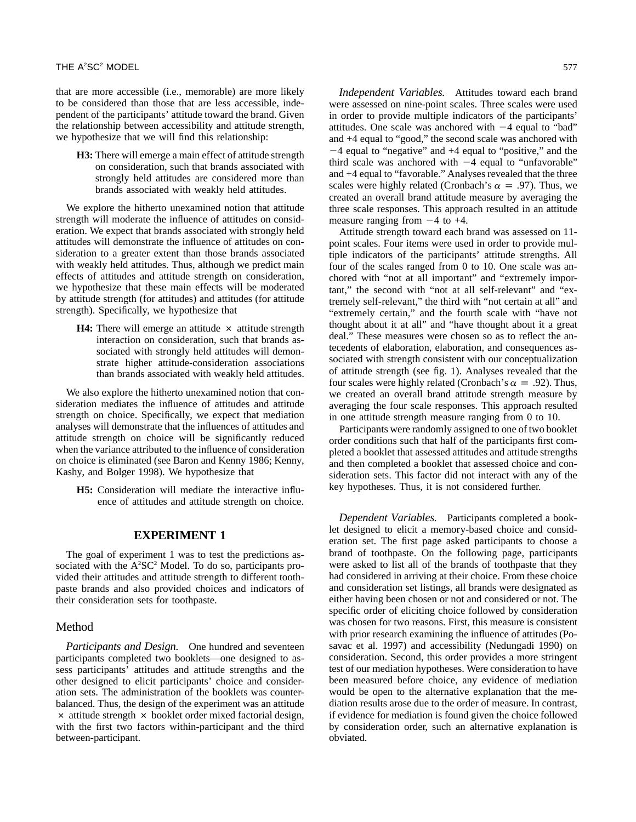#### **FIGURE 1**

CONCEPTUALIZATION OF ATTITUDE STRENGTH



of attitudes on choice. What is known about *how* strongly held attitudes guide behavior? Current and recent research in psychology has focused on finding moderators to the influence of attitudes on behavior. We will propose and find evidence for mediators to the influence of strongly held attitudes on behavior. Such mediation would be of tremendous value in that it could provide insight into the psychological processes that underlie the ability of strongly held attitudes to guide and influence behavior. By incorporating an understanding of consideration with the attitudes literature, we hypothesize that attitudes and attitude strength influence choice, at least in part, by the process of consideration. Thus, we predict that strongly held positive attitudes will be more likely to be considered, and as a result of this consideration, chosen. Such a finding would provide an advance to the attitudes and behavior literature.

## Attitude and Attitude Strength, Consideration and Choice (A<sup>2</sup>SC<sup>2</sup>) Model

Taken together, our hypotheses suggest that attitude strength will moderate the influence of attitudes on consideration, in addition to choice, such that the influence of attitudes on consideration will be greater for strongly held than for weakly held attitudes. As such, it should be the brands that are strongly liked that are more likely to be considered than either the brands that are weakly liked or the brands that are not liked. If so, an understanding of the joint influences of attitudes and attitude strength is important in understanding the antecedents of consideration. In addition, our hypotheses suggest that attitudes and attitude strength guide choice by the process of consideration. Brands for which individuals possess strongly held positive attitudes are more likely to be considered than brands for which individuals possess weakly held positive, or negative attitudes. And it is consideration that guides whether a brand is chosen. The bottom portion of figure 2 provides a diagram of our model.

### Hypotheses

Prior research on attitude strength has found that attitude strength moderates the role of attitudes on choice (e.g., Fazio 1995; Petty et al. 1995). We hypothesize that we will replicate this finding:

**H1:** There will emerge an attitude  $\times$  attitude strength interaction on choice, such that brands associated with strongly held attitudes will demonstrate a greater influence of attitudes on choice than brands associated with weakly held attitudes.

A key determinant of whether an alternative is included in a consideration set is whether the alternative is liked or disliked. We hypothesize that we will replicate this finding:

**H2:** There will emerge a main effect of attitudes on consideration, such that liked brands are considered more than disliked brands.

Nedungadi's (1990) work suggests that brand alternatives

#### **FIGURE 2**

#### HYPOTHESIZED RELATIONSHIPS



NOTE.—Relationships hypothesized by the consideration set literature (top), the attitude literature (middle), and the  $A^2SC^2$  model (bottom).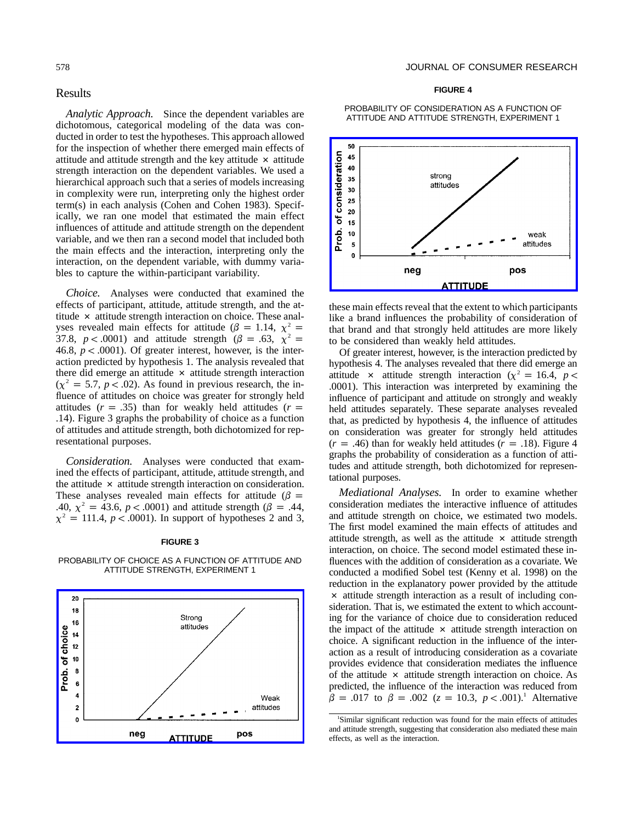#### THE A<sup>2</sup>SC<sup>2</sup> MODEL  $SC<sup>2</sup>$  MODEL  $577$

that are more accessible (i.e., memorable) are more likely to be considered than those that are less accessible, independent of the participants' attitude toward the brand. Given the relationship between accessibility and attitude strength, we hypothesize that we will find this relationship:

**H3:** There will emerge a main effect of attitude strength on consideration, such that brands associated with strongly held attitudes are considered more than brands associated with weakly held attitudes.

We explore the hitherto unexamined notion that attitude strength will moderate the influence of attitudes on consideration. We expect that brands associated with strongly held attitudes will demonstrate the influence of attitudes on consideration to a greater extent than those brands associated with weakly held attitudes. Thus, although we predict main effects of attitudes and attitude strength on consideration, we hypothesize that these main effects will be moderated by attitude strength (for attitudes) and attitudes (for attitude strength). Specifically, we hypothesize that

**H4:** There will emerge an attitude  $\times$  attitude strength interaction on consideration, such that brands associated with strongly held attitudes will demonstrate higher attitude-consideration associations than brands associated with weakly held attitudes.

We also explore the hitherto unexamined notion that consideration mediates the influence of attitudes and attitude strength on choice. Specifically, we expect that mediation analyses will demonstrate that the influences of attitudes and attitude strength on choice will be significantly reduced when the variance attributed to the influence of consideration on choice is eliminated (see Baron and Kenny 1986; Kenny, Kashy, and Bolger 1998). We hypothesize that

**H5:** Consideration will mediate the interactive influence of attitudes and attitude strength on choice.

#### **EXPERIMENT 1**

The goal of experiment 1 was to test the predictions associated with the  $A<sup>2</sup>SC<sup>2</sup>$  Model. To do so, participants provided their attitudes and attitude strength to different toothpaste brands and also provided choices and indicators of their consideration sets for toothpaste.

#### Method

*Participants and Design.* One hundred and seventeen participants completed two booklets—one designed to assess participants' attitudes and attitude strengths and the other designed to elicit participants' choice and consideration sets. The administration of the booklets was counterbalanced. Thus, the design of the experiment was an attitude  $\times$  attitude strength  $\times$  booklet order mixed factorial design, with the first two factors within-participant and the third between-participant.

*Independent Variables.* Attitudes toward each brand were assessed on nine-point scales. Three scales were used in order to provide multiple indicators of the participants' attitudes. One scale was anchored with  $-4$  equal to "bad" and +4 equal to "good," the second scale was anchored with  $-4$  equal to "negative" and  $+4$  equal to "positive," and the third scale was anchored with  $-4$  equal to "unfavorable" and +4 equal to "favorable." Analyses revealed that the three scales were highly related (Cronbach's  $\alpha = .97$ ). Thus, we created an overall brand attitude measure by averaging the three scale responses. This approach resulted in an attitude measure ranging from  $-4$  to  $+4$ .

Attitude strength toward each brand was assessed on 11 point scales. Four items were used in order to provide multiple indicators of the participants' attitude strengths. All four of the scales ranged from 0 to 10. One scale was anchored with "not at all important" and "extremely important," the second with "not at all self-relevant" and "extremely self-relevant," the third with "not certain at all" and "extremely certain," and the fourth scale with "have not thought about it at all" and "have thought about it a great deal." These measures were chosen so as to reflect the antecedents of elaboration, elaboration, and consequences associated with strength consistent with our conceptualization of attitude strength (see fig. 1). Analyses revealed that the four scales were highly related (Cronbach's  $\alpha = .92$ ). Thus, we created an overall brand attitude strength measure by averaging the four scale responses. This approach resulted in one attitude strength measure ranging from 0 to 10.

Participants were randomly assigned to one of two booklet order conditions such that half of the participants first completed a booklet that assessed attitudes and attitude strengths and then completed a booklet that assessed choice and consideration sets. This factor did not interact with any of the key hypotheses. Thus, it is not considered further.

*Dependent Variables.* Participants completed a booklet designed to elicit a memory-based choice and consideration set. The first page asked participants to choose a brand of toothpaste. On the following page, participants were asked to list all of the brands of toothpaste that they had considered in arriving at their choice. From these choice and consideration set listings, all brands were designated as either having been chosen or not and considered or not. The specific order of eliciting choice followed by consideration was chosen for two reasons. First, this measure is consistent with prior research examining the influence of attitudes (Posavac et al. 1997) and accessibility (Nedungadi 1990) on consideration. Second, this order provides a more stringent test of our mediation hypotheses. Were consideration to have been measured before choice, any evidence of mediation would be open to the alternative explanation that the mediation results arose due to the order of measure. In contrast, if evidence for mediation is found given the choice followed by consideration order, such an alternative explanation is obviated.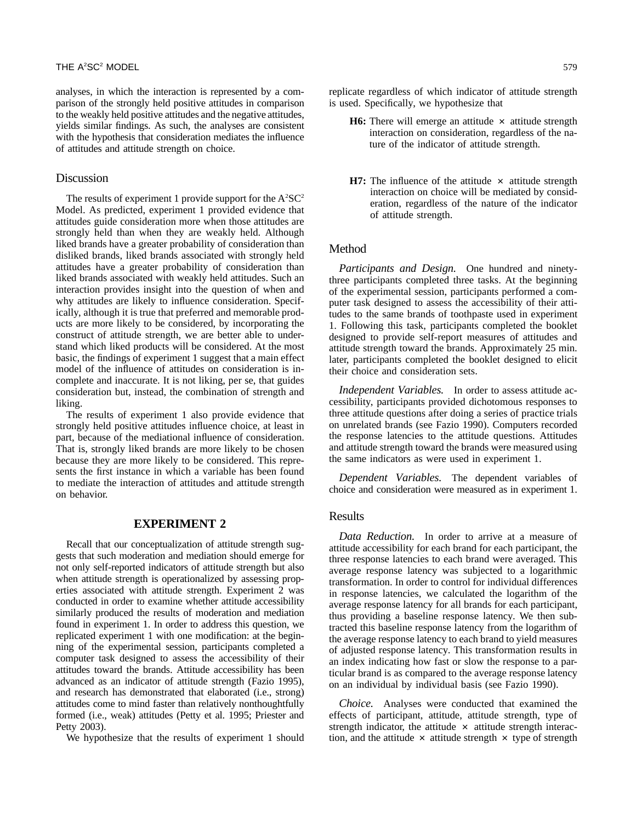#### Results

*Analytic Approach.* Since the dependent variables are dichotomous, categorical modeling of the data was conducted in order to test the hypotheses. This approach allowed for the inspection of whether there emerged main effects of attitude and attitude strength and the key attitude  $\times$  attitude strength interaction on the dependent variables. We used a hierarchical approach such that a series of models increasing in complexity were run, interpreting only the highest order term(s) in each analysis (Cohen and Cohen 1983). Specifically, we ran one model that estimated the main effect influences of attitude and attitude strength on the dependent variable, and we then ran a second model that included both the main effects and the interaction, interpreting only the interaction, on the dependent variable, with dummy variables to capture the within-participant variability.

*Choice.* Analyses were conducted that examined the effects of participant, attitude, attitude strength, and the attitude  $\times$  attitude strength interaction on choice. These analyses revealed main effects for attitude ( $\beta = 1.14$ ,  $\chi^2 =$ 37.8,  $p < .0001$ ) and attitude strength  $(\beta = .63, \chi^2 = .0001)$ 46.8,  $p < .0001$ ). Of greater interest, however, is the interaction predicted by hypothesis 1. The analysis revealed that there did emerge an attitude  $\times$  attitude strength interaction  $(\chi^2 = 5.7, p < .02)$ . As found in previous research, the influence of attitudes on choice was greater for strongly held attitudes  $(r = .35)$  than for weakly held attitudes  $(r = .35)$ .14). Figure 3 graphs the probability of choice as a function of attitudes and attitude strength, both dichotomized for representational purposes.

*Consideration.* Analyses were conducted that examined the effects of participant, attitude, attitude strength, and the attitude  $\times$  attitude strength interaction on consideration. These analyses revealed main effects for attitude ( $\beta$  = .40,  $\chi^2 = 43.6$ ,  $p < .0001$ ) and attitude strength ( $\beta = .44$ ,  $\chi^2 = 111.4$ ,  $p < .0001$ ). In support of hypotheses 2 and 3,

#### **FIGURE 3**

PROBABILITY OF CHOICE AS A FUNCTION OF ATTITUDE AND ATTITUDE STRENGTH, EXPERIMENT 1



#### **FIGURE 4**

#### PROBABILITY OF CONSIDERATION AS A FUNCTION OF ATTITUDE AND ATTITUDE STRENGTH, EXPERIMENT 1



these main effects reveal that the extent to which participants like a brand influences the probability of consideration of that brand and that strongly held attitudes are more likely to be considered than weakly held attitudes.

Of greater interest, however, is the interaction predicted by hypothesis 4. The analyses revealed that there did emerge an attitude  $\times$  attitude strength interaction ( $\chi^2 = 16.4$ , *p* < .0001). This interaction was interpreted by examining the influence of participant and attitude on strongly and weakly held attitudes separately. These separate analyses revealed that, as predicted by hypothesis 4, the influence of attitudes on consideration was greater for strongly held attitudes  $(r = .46)$  than for weakly held attitudes  $(r = .18)$ . Figure 4 graphs the probability of consideration as a function of attitudes and attitude strength, both dichotomized for representational purposes.

*Mediational Analyses.* In order to examine whether consideration mediates the interactive influence of attitudes and attitude strength on choice, we estimated two models. The first model examined the main effects of attitudes and attitude strength, as well as the attitude  $\times$  attitude strength interaction, on choice. The second model estimated these influences with the addition of consideration as a covariate. We conducted a modified Sobel test (Kenny et al. 1998) on the reduction in the explanatory power provided by the attitude  $\times$  attitude strength interaction as a result of including consideration. That is, we estimated the extent to which accounting for the variance of choice due to consideration reduced the impact of the attitude  $\times$  attitude strength interaction on choice. A significant reduction in the influence of the interaction as a result of introducing consideration as a covariate provides evidence that consideration mediates the influence of the attitude  $\times$  attitude strength interaction on choice. As predicted, the influence of the interaction was reduced from  $\beta = .017$  to  $\beta = .002$  ( $z = 10.3$ ,  $p < .001$ ).<sup>1</sup> Alternative

<sup>1</sup> Similar significant reduction was found for the main effects of attitudes and attitude strength, suggesting that consideration also mediated these main effects, as well as the interaction.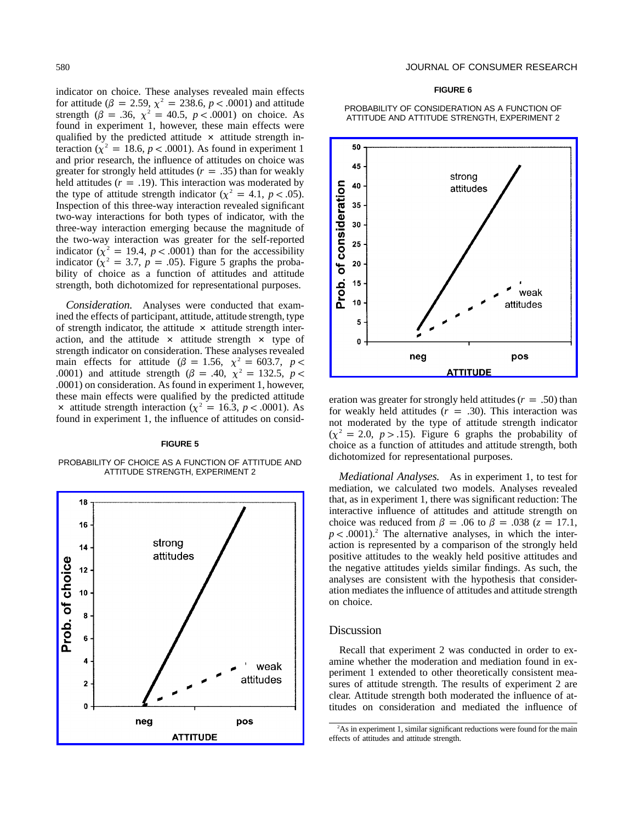analyses, in which the interaction is represented by a comparison of the strongly held positive attitudes in comparison to the weakly held positive attitudes and the negative attitudes, yields similar findings. As such, the analyses are consistent with the hypothesis that consideration mediates the influence of attitudes and attitude strength on choice.

#### Discussion

The results of experiment 1 provide support for the  $A^2SC^2$ Model. As predicted, experiment 1 provided evidence that attitudes guide consideration more when those attitudes are strongly held than when they are weakly held. Although liked brands have a greater probability of consideration than disliked brands, liked brands associated with strongly held attitudes have a greater probability of consideration than liked brands associated with weakly held attitudes. Such an interaction provides insight into the question of when and why attitudes are likely to influence consideration. Specifically, although it is true that preferred and memorable products are more likely to be considered, by incorporating the construct of attitude strength, we are better able to understand which liked products will be considered. At the most basic, the findings of experiment 1 suggest that a main effect model of the influence of attitudes on consideration is incomplete and inaccurate. It is not liking, per se, that guides consideration but, instead, the combination of strength and liking.

The results of experiment 1 also provide evidence that strongly held positive attitudes influence choice, at least in part, because of the mediational influence of consideration. That is, strongly liked brands are more likely to be chosen because they are more likely to be considered. This represents the first instance in which a variable has been found to mediate the interaction of attitudes and attitude strength on behavior.

#### **EXPERIMENT 2**

Recall that our conceptualization of attitude strength suggests that such moderation and mediation should emerge for not only self-reported indicators of attitude strength but also when attitude strength is operationalized by assessing properties associated with attitude strength. Experiment 2 was conducted in order to examine whether attitude accessibility similarly produced the results of moderation and mediation found in experiment 1. In order to address this question, we replicated experiment 1 with one modification: at the beginning of the experimental session, participants completed a computer task designed to assess the accessibility of their attitudes toward the brands. Attitude accessibility has been advanced as an indicator of attitude strength (Fazio 1995), and research has demonstrated that elaborated (i.e., strong) attitudes come to mind faster than relatively nonthoughtfully formed (i.e., weak) attitudes (Petty et al. 1995; Priester and Petty 2003).

We hypothesize that the results of experiment 1 should

replicate regardless of which indicator of attitude strength is used. Specifically, we hypothesize that

- **H6:** There will emerge an attitude  $\times$  attitude strength interaction on consideration, regardless of the nature of the indicator of attitude strength.
- **H7:** The influence of the attitude  $\times$  attitude strength interaction on choice will be mediated by consideration, regardless of the nature of the indicator of attitude strength.

#### Method

*Participants and Design.* One hundred and ninetythree participants completed three tasks. At the beginning of the experimental session, participants performed a computer task designed to assess the accessibility of their attitudes to the same brands of toothpaste used in experiment 1. Following this task, participants completed the booklet designed to provide self-report measures of attitudes and attitude strength toward the brands. Approximately 25 min. later, participants completed the booklet designed to elicit their choice and consideration sets.

*Independent Variables.* In order to assess attitude accessibility, participants provided dichotomous responses to three attitude questions after doing a series of practice trials on unrelated brands (see Fazio 1990). Computers recorded the response latencies to the attitude questions. Attitudes and attitude strength toward the brands were measured using the same indicators as were used in experiment 1.

*Dependent Variables.* The dependent variables of choice and consideration were measured as in experiment 1.

#### Results

*Data Reduction.* In order to arrive at a measure of attitude accessibility for each brand for each participant, the three response latencies to each brand were averaged. This average response latency was subjected to a logarithmic transformation. In order to control for individual differences in response latencies, we calculated the logarithm of the average response latency for all brands for each participant, thus providing a baseline response latency. We then subtracted this baseline response latency from the logarithm of the average response latency to each brand to yield measures of adjusted response latency. This transformation results in an index indicating how fast or slow the response to a particular brand is as compared to the average response latency on an individual by individual basis (see Fazio 1990).

*Choice.* Analyses were conducted that examined the effects of participant, attitude, attitude strength, type of strength indicator, the attitude  $\times$  attitude strength interaction, and the attitude  $\times$  attitude strength  $\times$  type of strength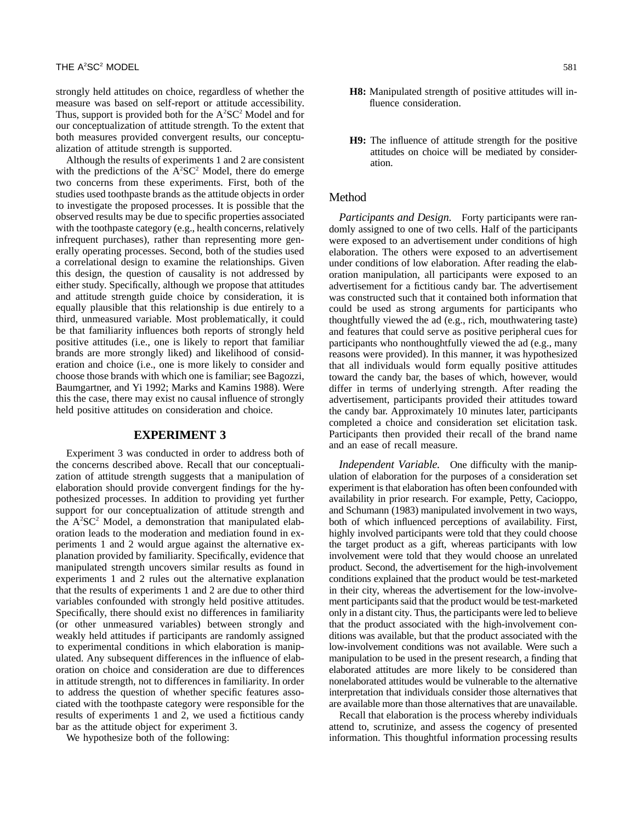indicator on choice. These analyses revealed main effects for attitude ( $\beta = 2.59$ ,  $\chi^2 = 238.6$ ,  $p < .0001$ ) and attitude strength ( $\beta = .36$ ,  $\chi^2 = 40.5$ ,  $p < .0001$ ) on choice. As found in experiment 1, however, these main effects were qualified by the predicted attitude  $\times$  attitude strength interaction ( $\chi^2 = 18.6$ ,  $p < .0001$ ). As found in experiment 1 and prior research, the influence of attitudes on choice was greater for strongly held attitudes  $(r = .35)$  than for weakly held attitudes  $(r = .19)$ . This interaction was moderated by the type of attitude strength indicator ( $\chi^2 = 4.1$ ,  $p < .05$ ). Inspection of this three-way interaction revealed significant two-way interactions for both types of indicator, with the three-way interaction emerging because the magnitude of the two-way interaction was greater for the self-reported indicator ( $\chi^2$  = 19.4, *p* < .0001) than for the accessibility indicator  $(x^2 = 3.7, p = .05)$ . Figure 5 graphs the probability of choice as a function of attitudes and attitude strength, both dichotomized for representational purposes.

*Consideration.* Analyses were conducted that examined the effects of participant, attitude, attitude strength, type of strength indicator, the attitude  $\times$  attitude strength interaction, and the attitude  $\times$  attitude strength  $\times$  type of strength indicator on consideration. These analyses revealed main effects for attitude ( $\beta = 1.56$ ,  $\chi^2 = 603.7$ ,  $p <$ .0001) and attitude strength ( $\beta$  = .40,  $\chi^2$  = 132.5,  $p$  < .0001) on consideration. As found in experiment 1, however, these main effects were qualified by the predicted attitude  $\times$  attitude strength interaction ( $\chi^2 = 16.3$ ,  $p < .0001$ ). As found in experiment 1, the influence of attitudes on consid-

#### **FIGURE 5**

#### PROBABILITY OF CHOICE AS A FUNCTION OF ATTITUDE AND ATTITUDE STRENGTH, EXPERIMENT 2



#### **FIGURE 6**

#### PROBABILITY OF CONSIDERATION AS A FUNCTION OF ATTITUDE AND ATTITUDE STRENGTH, EXPERIMENT 2



eration was greater for strongly held attitudes ( $r = .50$ ) than for weakly held attitudes  $(r = .30)$ . This interaction was not moderated by the type of attitude strength indicator  $(x^2 = 2.0, p > .15)$ . Figure 6 graphs the probability of choice as a function of attitudes and attitude strength, both dichotomized for representational purposes.

*Mediational Analyses.* As in experiment 1, to test for mediation, we calculated two models. Analyses revealed that, as in experiment 1, there was significant reduction: The interactive influence of attitudes and attitude strength on choice was reduced from  $\beta = .06$  to  $\beta = .038$  ( $z = 17.1$ ,  $p < .0001$ <sup>2</sup>. The alternative analyses, in which the interaction is represented by a comparison of the strongly held positive attitudes to the weakly held positive attitudes and the negative attitudes yields similar findings. As such, the analyses are consistent with the hypothesis that consideration mediates the influence of attitudes and attitude strength on choice.

#### Discussion

Recall that experiment 2 was conducted in order to examine whether the moderation and mediation found in experiment 1 extended to other theoretically consistent measures of attitude strength. The results of experiment 2 are clear. Attitude strength both moderated the influence of attitudes on consideration and mediated the influence of

<sup>&</sup>lt;sup>2</sup>As in experiment 1, similar significant reductions were found for the main effects of attitudes and attitude strength.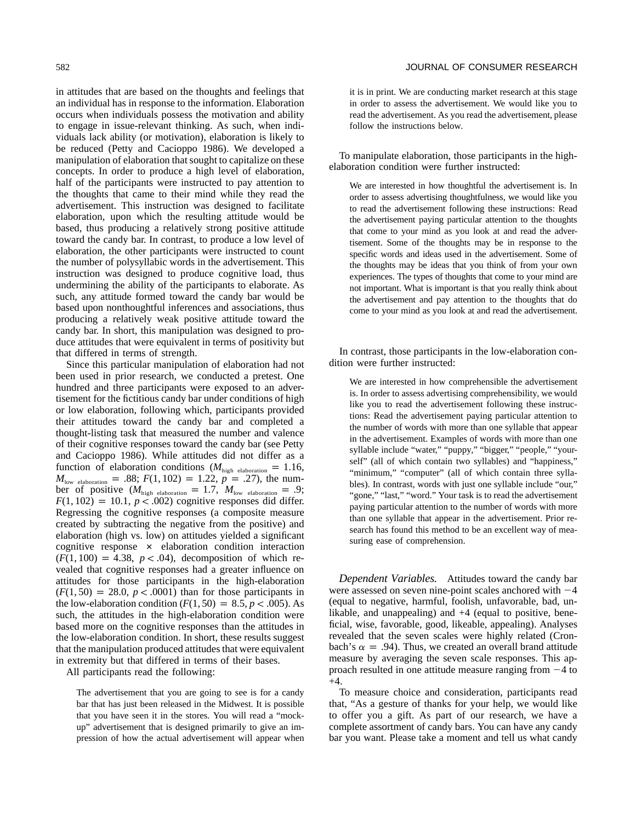strongly held attitudes on choice, regardless of whether the measure was based on self-report or attitude accessibility. Thus, support is provided both for the  $A<sup>2</sup>SC<sup>2</sup>$  Model and for our conceptualization of attitude strength. To the extent that both measures provided convergent results, our conceptualization of attitude strength is supported.

Although the results of experiments 1 and 2 are consistent with the predictions of the  $A<sup>2</sup>SC<sup>2</sup>$  Model, there do emerge two concerns from these experiments. First, both of the studies used toothpaste brands as the attitude objects in order to investigate the proposed processes. It is possible that the observed results may be due to specific properties associated with the toothpaste category (e.g., health concerns, relatively infrequent purchases), rather than representing more generally operating processes. Second, both of the studies used a correlational design to examine the relationships. Given this design, the question of causality is not addressed by either study. Specifically, although we propose that attitudes and attitude strength guide choice by consideration, it is equally plausible that this relationship is due entirely to a third, unmeasured variable. Most problematically, it could be that familiarity influences both reports of strongly held positive attitudes (i.e., one is likely to report that familiar brands are more strongly liked) and likelihood of consideration and choice (i.e., one is more likely to consider and choose those brands with which one is familiar; see Bagozzi, Baumgartner, and Yi 1992; Marks and Kamins 1988). Were this the case, there may exist no causal influence of strongly held positive attitudes on consideration and choice.

#### **EXPERIMENT 3**

Experiment 3 was conducted in order to address both of the concerns described above. Recall that our conceptualization of attitude strength suggests that a manipulation of elaboration should provide convergent findings for the hypothesized processes. In addition to providing yet further support for our conceptualization of attitude strength and the  $A<sup>2</sup>SC<sup>2</sup>$  Model, a demonstration that manipulated elaboration leads to the moderation and mediation found in experiments 1 and 2 would argue against the alternative explanation provided by familiarity. Specifically, evidence that manipulated strength uncovers similar results as found in experiments 1 and 2 rules out the alternative explanation that the results of experiments 1 and 2 are due to other third variables confounded with strongly held positive attitudes. Specifically, there should exist no differences in familiarity (or other unmeasured variables) between strongly and weakly held attitudes if participants are randomly assigned to experimental conditions in which elaboration is manipulated. Any subsequent differences in the influence of elaboration on choice and consideration are due to differences in attitude strength, not to differences in familiarity. In order to address the question of whether specific features associated with the toothpaste category were responsible for the results of experiments 1 and 2, we used a fictitious candy bar as the attitude object for experiment 3.

We hypothesize both of the following:

- **H8:** Manipulated strength of positive attitudes will influence consideration.
- **H9:** The influence of attitude strength for the positive attitudes on choice will be mediated by consideration.

#### Method

*Participants and Design.* Forty participants were randomly assigned to one of two cells. Half of the participants were exposed to an advertisement under conditions of high elaboration. The others were exposed to an advertisement under conditions of low elaboration. After reading the elaboration manipulation, all participants were exposed to an advertisement for a fictitious candy bar. The advertisement was constructed such that it contained both information that could be used as strong arguments for participants who thoughtfully viewed the ad (e.g., rich, mouthwatering taste) and features that could serve as positive peripheral cues for participants who nonthoughtfully viewed the ad (e.g., many reasons were provided). In this manner, it was hypothesized that all individuals would form equally positive attitudes toward the candy bar, the bases of which, however, would differ in terms of underlying strength. After reading the advertisement, participants provided their attitudes toward the candy bar. Approximately 10 minutes later, participants completed a choice and consideration set elicitation task. Participants then provided their recall of the brand name and an ease of recall measure.

*Independent Variable.* One difficulty with the manipulation of elaboration for the purposes of a consideration set experiment is that elaboration has often been confounded with availability in prior research. For example, Petty, Cacioppo, and Schumann (1983) manipulated involvement in two ways, both of which influenced perceptions of availability. First, highly involved participants were told that they could choose the target product as a gift, whereas participants with low involvement were told that they would choose an unrelated product. Second, the advertisement for the high-involvement conditions explained that the product would be test-marketed in their city, whereas the advertisement for the low-involvement participants said that the product would be test-marketed only in a distant city. Thus, the participants were led to believe that the product associated with the high-involvement conditions was available, but that the product associated with the low-involvement conditions was not available. Were such a manipulation to be used in the present research, a finding that elaborated attitudes are more likely to be considered than nonelaborated attitudes would be vulnerable to the alternative interpretation that individuals consider those alternatives that are available more than those alternatives that are unavailable.

Recall that elaboration is the process whereby individuals attend to, scrutinize, and assess the cogency of presented information. This thoughtful information processing results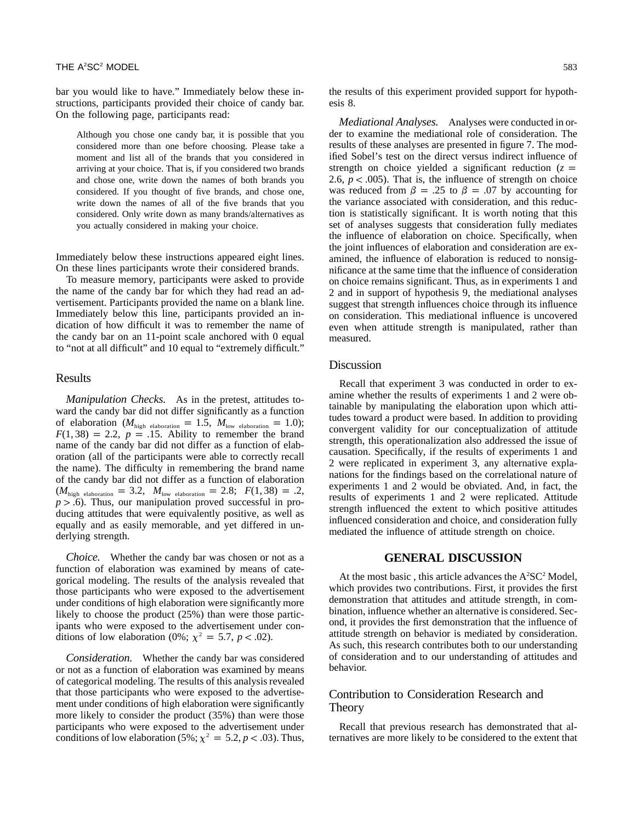in attitudes that are based on the thoughts and feelings that an individual has in response to the information. Elaboration occurs when individuals possess the motivation and ability to engage in issue-relevant thinking. As such, when individuals lack ability (or motivation), elaboration is likely to be reduced (Petty and Cacioppo 1986). We developed a manipulation of elaboration that sought to capitalize on these concepts. In order to produce a high level of elaboration, half of the participants were instructed to pay attention to the thoughts that came to their mind while they read the advertisement. This instruction was designed to facilitate elaboration, upon which the resulting attitude would be based, thus producing a relatively strong positive attitude toward the candy bar. In contrast, to produce a low level of elaboration, the other participants were instructed to count the number of polysyllabic words in the advertisement. This instruction was designed to produce cognitive load, thus undermining the ability of the participants to elaborate. As such, any attitude formed toward the candy bar would be based upon nonthoughtful inferences and associations, thus producing a relatively weak positive attitude toward the candy bar. In short, this manipulation was designed to produce attitudes that were equivalent in terms of positivity but that differed in terms of strength.

Since this particular manipulation of elaboration had not been used in prior research, we conducted a pretest. One hundred and three participants were exposed to an advertisement for the fictitious candy bar under conditions of high or low elaboration, following which, participants provided their attitudes toward the candy bar and completed a thought-listing task that measured the number and valence of their cognitive responses toward the candy bar (see Petty and Cacioppo 1986). While attitudes did not differ as a function of elaboration conditions ( $M_{\text{high elaboration}} = 1.16$ ,  $M_{\text{low elaboration}} = .88; F(1, 102) = 1.22, p = .27$ , the number of positive  $(M_{\text{high elaboration}} = 1.7, M_{\text{low elaboration}} = .9;$  $F(1, 102) = 10.1$ ,  $p \le 0.002$ ) cognitive responses did differ. Regressing the cognitive responses (a composite measure created by subtracting the negative from the positive) and elaboration (high vs. low) on attitudes yielded a significant cognitive response  $\times$  elaboration condition interaction  $(F(1, 100) = 4.38, p < .04)$ , decomposition of which revealed that cognitive responses had a greater influence on attitudes for those participants in the high-elaboration  $(F(1, 50) = 28.0, p < .0001)$  than for those participants in the low-elaboration condition  $(F(1, 50) = 8.5, p < .005)$ . As such, the attitudes in the high-elaboration condition were based more on the cognitive responses than the attitudes in the low-elaboration condition. In short, these results suggest that the manipulation produced attitudes that were equivalent in extremity but that differed in terms of their bases.

All participants read the following:

The advertisement that you are going to see is for a candy bar that has just been released in the Midwest. It is possible that you have seen it in the stores. You will read a "mockup" advertisement that is designed primarily to give an impression of how the actual advertisement will appear when it is in print. We are conducting market research at this stage in order to assess the advertisement. We would like you to read the advertisement. As you read the advertisement, please follow the instructions below.

To manipulate elaboration, those participants in the highelaboration condition were further instructed:

We are interested in how thoughtful the advertisement is. In order to assess advertising thoughtfulness, we would like you to read the advertisement following these instructions: Read the advertisement paying particular attention to the thoughts that come to your mind as you look at and read the advertisement. Some of the thoughts may be in response to the specific words and ideas used in the advertisement. Some of the thoughts may be ideas that you think of from your own experiences. The types of thoughts that come to your mind are not important. What is important is that you really think about the advertisement and pay attention to the thoughts that do come to your mind as you look at and read the advertisement.

In contrast, those participants in the low-elaboration condition were further instructed:

We are interested in how comprehensible the advertisement is. In order to assess advertising comprehensibility, we would like you to read the advertisement following these instructions: Read the advertisement paying particular attention to the number of words with more than one syllable that appear in the advertisement. Examples of words with more than one syllable include "water," "puppy," "bigger," "people," "yourself" (all of which contain two syllables) and "happiness," "minimum," "computer" (all of which contain three syllables). In contrast, words with just one syllable include "our," "gone," "last," "word." Your task is to read the advertisement paying particular attention to the number of words with more than one syllable that appear in the advertisement. Prior research has found this method to be an excellent way of measuring ease of comprehension.

*Dependent Variables.* Attitudes toward the candy bar were assessed on seven nine-point scales anchored with  $-4$ (equal to negative, harmful, foolish, unfavorable, bad, unlikable, and unappealing) and +4 (equal to positive, beneficial, wise, favorable, good, likeable, appealing). Analyses revealed that the seven scales were highly related (Cronbach's  $\alpha = .94$ ). Thus, we created an overall brand attitude measure by averaging the seven scale responses. This approach resulted in one attitude measure ranging from  $-4$  to +4.

To measure choice and consideration, participants read that, "As a gesture of thanks for your help, we would like to offer you a gift. As part of our research, we have a complete assortment of candy bars. You can have any candy bar you want. Please take a moment and tell us what candy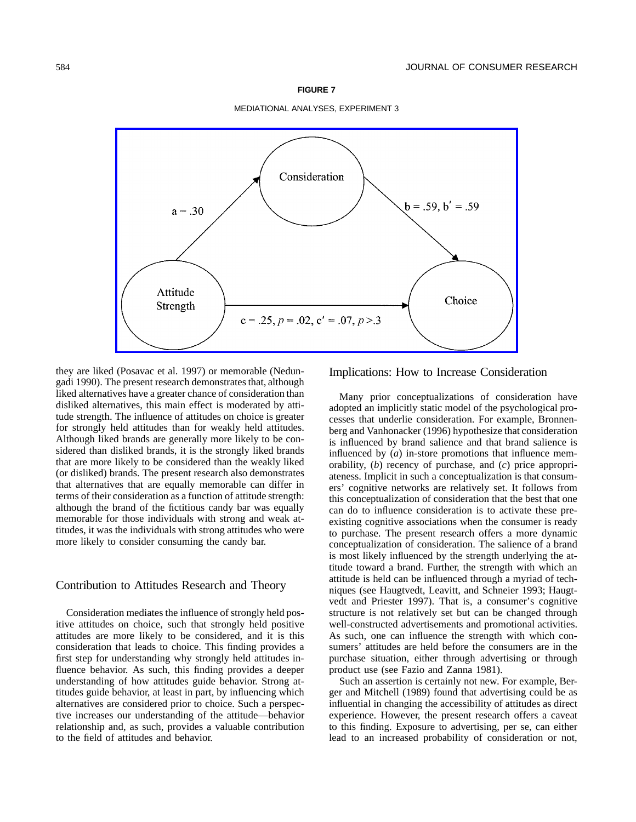bar you would like to have." Immediately below these instructions, participants provided their choice of candy bar. On the following page, participants read:

Although you chose one candy bar, it is possible that you considered more than one before choosing. Please take a moment and list all of the brands that you considered in arriving at your choice. That is, if you considered two brands and chose one, write down the names of both brands you considered. If you thought of five brands, and chose one, write down the names of all of the five brands that you considered. Only write down as many brands/alternatives as you actually considered in making your choice.

Immediately below these instructions appeared eight lines. On these lines participants wrote their considered brands.

To measure memory, participants were asked to provide the name of the candy bar for which they had read an advertisement. Participants provided the name on a blank line. Immediately below this line, participants provided an indication of how difficult it was to remember the name of the candy bar on an 11-point scale anchored with 0 equal to "not at all difficult" and 10 equal to "extremely difficult."

#### Results

*Manipulation Checks.* As in the pretest, attitudes toward the candy bar did not differ significantly as a function of elaboration ( $M_{\text{high elaboration}} = 1.5$ ,  $M_{\text{low elaboration}} = 1.0$ );  $F(1, 38) = 2.2$ ,  $p = .15$ . Ability to remember the brand name of the candy bar did not differ as a function of elaboration (all of the participants were able to correctly recall the name). The difficulty in remembering the brand name of the candy bar did not differ as a function of elaboration  $(M_{\text{high elaboration}} = 3.2, M_{\text{low elaboration}} = 2.8; F(1, 38) = .2,$  $p > .6$ ). Thus, our manipulation proved successful in producing attitudes that were equivalently positive, as well as equally and as easily memorable, and yet differed in underlying strength.

*Choice.* Whether the candy bar was chosen or not as a function of elaboration was examined by means of categorical modeling. The results of the analysis revealed that those participants who were exposed to the advertisement under conditions of high elaboration were significantly more likely to choose the product (25%) than were those participants who were exposed to the advertisement under conditions of low elaboration (0%;  $\chi^2 = 5.7$ ,  $p < .02$ ).

*Consideration.* Whether the candy bar was considered or not as a function of elaboration was examined by means of categorical modeling. The results of this analysis revealed that those participants who were exposed to the advertisement under conditions of high elaboration were significantly more likely to consider the product (35%) than were those participants who were exposed to the advertisement under conditions of low elaboration (5%;  $\chi^2 = 5.2, p < .03$ ). Thus,

the results of this experiment provided support for hypothesis 8.

*Mediational Analyses.* Analyses were conducted in order to examine the mediational role of consideration. The results of these analyses are presented in figure 7. The modified Sobel's test on the direct versus indirect influence of strength on choice yielded a significant reduction  $(z =$ 2.6,  $p < .005$ ). That is, the influence of strength on choice was reduced from  $\beta = .25$  to  $\beta = .07$  by accounting for the variance associated with consideration, and this reduction is statistically significant. It is worth noting that this set of analyses suggests that consideration fully mediates the influence of elaboration on choice. Specifically, when the joint influences of elaboration and consideration are examined, the influence of elaboration is reduced to nonsignificance at the same time that the influence of consideration on choice remains significant. Thus, as in experiments 1 and 2 and in support of hypothesis 9, the mediational analyses suggest that strength influences choice through its influence on consideration. This mediational influence is uncovered even when attitude strength is manipulated, rather than measured.

#### Discussion

Recall that experiment 3 was conducted in order to examine whether the results of experiments 1 and 2 were obtainable by manipulating the elaboration upon which attitudes toward a product were based. In addition to providing convergent validity for our conceptualization of attitude strength, this operationalization also addressed the issue of causation. Specifically, if the results of experiments 1 and 2 were replicated in experiment 3, any alternative explanations for the findings based on the correlational nature of experiments 1 and 2 would be obviated. And, in fact, the results of experiments 1 and 2 were replicated. Attitude strength influenced the extent to which positive attitudes influenced consideration and choice, and consideration fully mediated the influence of attitude strength on choice.

#### **GENERAL DISCUSSION**

At the most basic, this article advances the  $A<sup>2</sup>SC<sup>2</sup>$  Model, which provides two contributions. First, it provides the first demonstration that attitudes and attitude strength, in combination, influence whether an alternative is considered. Second, it provides the first demonstration that the influence of attitude strength on behavior is mediated by consideration. As such, this research contributes both to our understanding of consideration and to our understanding of attitudes and behavior.

#### Contribution to Consideration Research and **Theory**

Recall that previous research has demonstrated that alternatives are more likely to be considered to the extent that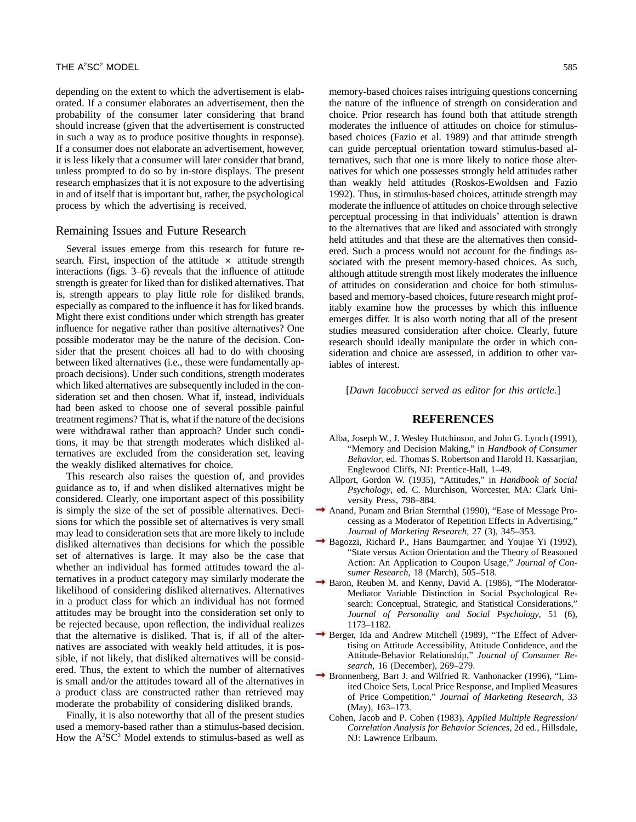#### **FIGURE 7**

MEDIATIONAL ANALYSES, EXPERIMENT 3



they are liked (Posavac et al. 1997) or memorable (Nedungadi 1990). The present research demonstrates that, although liked alternatives have a greater chance of consideration than disliked alternatives, this main effect is moderated by attitude strength. The influence of attitudes on choice is greater for strongly held attitudes than for weakly held attitudes. Although liked brands are generally more likely to be considered than disliked brands, it is the strongly liked brands that are more likely to be considered than the weakly liked (or disliked) brands. The present research also demonstrates that alternatives that are equally memorable can differ in terms of their consideration as a function of attitude strength: although the brand of the fictitious candy bar was equally memorable for those individuals with strong and weak attitudes, it was the individuals with strong attitudes who were more likely to consider consuming the candy bar.

#### Contribution to Attitudes Research and Theory

Consideration mediates the influence of strongly held positive attitudes on choice, such that strongly held positive attitudes are more likely to be considered, and it is this consideration that leads to choice. This finding provides a first step for understanding why strongly held attitudes influence behavior. As such, this finding provides a deeper understanding of how attitudes guide behavior. Strong attitudes guide behavior, at least in part, by influencing which alternatives are considered prior to choice. Such a perspective increases our understanding of the attitude—behavior relationship and, as such, provides a valuable contribution to the field of attitudes and behavior.

Implications: How to Increase Consideration

Many prior conceptualizations of consideration have adopted an implicitly static model of the psychological processes that underlie consideration. For example, Bronnenberg and Vanhonacker (1996) hypothesize that consideration is influenced by brand salience and that brand salience is influenced by (*a*) in-store promotions that influence memorability, (*b*) recency of purchase, and (*c*) price appropriateness. Implicit in such a conceptualization is that consumers' cognitive networks are relatively set. It follows from this conceptualization of consideration that the best that one can do to influence consideration is to activate these preexisting cognitive associations when the consumer is ready to purchase. The present research offers a more dynamic conceptualization of consideration. The salience of a brand is most likely influenced by the strength underlying the attitude toward a brand. Further, the strength with which an attitude is held can be influenced through a myriad of techniques (see Haugtvedt, Leavitt, and Schneier 1993; Haugtvedt and Priester 1997). That is, a consumer's cognitive structure is not relatively set but can be changed through well-constructed advertisements and promotional activities. As such, one can influence the strength with which consumers' attitudes are held before the consumers are in the purchase situation, either through advertising or through product use (see Fazio and Zanna 1981).

Such an assertion is certainly not new. For example, Berger and Mitchell (1989) found that advertising could be as influential in changing the accessibility of attitudes as direct experience. However, the present research offers a caveat to this finding. Exposure to advertising, per se, can either lead to an increased probability of consideration or not,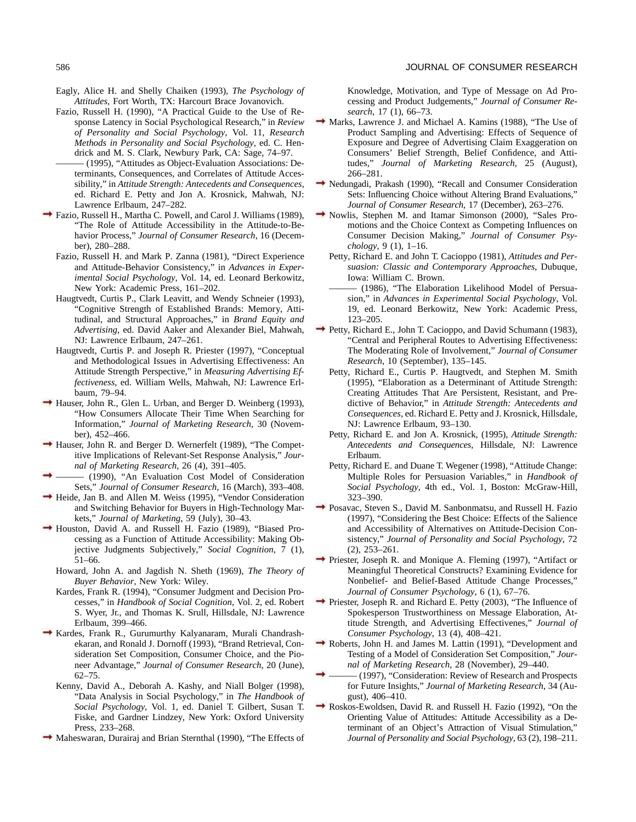#### THE A<sup>2</sup>SC<sup>2</sup> MODEL  $SC<sup>2</sup>$  MODEL  $585$

depending on the extent to which the advertisement is elaborated. If a consumer elaborates an advertisement, then the probability of the consumer later considering that brand should increase (given that the advertisement is constructed in such a way as to produce positive thoughts in response). If a consumer does not elaborate an advertisement, however, it is less likely that a consumer will later consider that brand, unless prompted to do so by in-store displays. The present research emphasizes that it is not exposure to the advertising in and of itself that is important but, rather, the psychological process by which the advertising is received.

#### Remaining Issues and Future Research

Several issues emerge from this research for future research. First, inspection of the attitude  $\times$  attitude strength interactions (figs. 3–6) reveals that the influence of attitude strength is greater for liked than for disliked alternatives. That is, strength appears to play little role for disliked brands, especially as compared to the influence it has for liked brands. Might there exist conditions under which strength has greater influence for negative rather than positive alternatives? One possible moderator may be the nature of the decision. Consider that the present choices all had to do with choosing between liked alternatives (i.e., these were fundamentally approach decisions). Under such conditions, strength moderates which liked alternatives are subsequently included in the consideration set and then chosen. What if, instead, individuals had been asked to choose one of several possible painful treatment regimens? That is, what if the nature of the decisions were withdrawal rather than approach? Under such conditions, it may be that strength moderates which disliked alternatives are excluded from the consideration set, leaving the weakly disliked alternatives for choice.

This research also raises the question of, and provides guidance as to, if and when disliked alternatives might be considered. Clearly, one important aspect of this possibility is simply the size of the set of possible alternatives. Decisions for which the possible set of alternatives is very small may lead to consideration sets that are more likely to include disliked alternatives than decisions for which the possible set of alternatives is large. It may also be the case that whether an individual has formed attitudes toward the alternatives in a product category may similarly moderate the likelihood of considering disliked alternatives. Alternatives in a product class for which an individual has not formed attitudes may be brought into the consideration set only to be rejected because, upon reflection, the individual realizes that the alternative is disliked. That is, if all of the alternatives are associated with weakly held attitudes, it is possible, if not likely, that disliked alternatives will be considered. Thus, the extent to which the number of alternatives is small and/or the attitudes toward all of the alternatives in a product class are constructed rather than retrieved may moderate the probability of considering disliked brands.

Finally, it is also noteworthy that all of the present studies used a memory-based rather than a stimulus-based decision. How the  $A^2SC^2$  Model extends to stimulus-based as well as

memory-based choices raises intriguing questions concerning the nature of the influence of strength on consideration and choice. Prior research has found both that attitude strength moderates the influence of attitudes on choice for stimulusbased choices (Fazio et al. 1989) and that attitude strength can guide perceptual orientation toward stimulus-based alternatives, such that one is more likely to notice those alternatives for which one possesses strongly held attitudes rather than weakly held attitudes (Roskos-Ewoldsen and Fazio 1992). Thus, in stimulus-based choices, attitude strength may moderate the influence of attitudes on choice through selective perceptual processing in that individuals' attention is drawn to the alternatives that are liked and associated with strongly held attitudes and that these are the alternatives then considered. Such a process would not account for the findings associated with the present memory-based choices. As such, although attitude strength most likely moderates the influence of attitudes on consideration and choice for both stimulusbased and memory-based choices, future research might profitably examine how the processes by which this influence emerges differ. It is also worth noting that all of the present studies measured consideration after choice. Clearly, future research should ideally manipulate the order in which consideration and choice are assessed, in addition to other variables of interest.

[*Dawn Iacobucci served as editor for this article.*]

#### **REFERENCES**

- Alba, Joseph W., J. Wesley Hutchinson, and John G. Lynch (1991), "Memory and Decision Making," in *Handbook of Consumer Behavior*, ed. Thomas S. Robertson and Harold H. Kassarjian, Englewood Cliffs, NJ: Prentice-Hall, 1–49.
- Allport, Gordon W. (1935), "Attitudes," in *Handbook of Social Psychology*, ed. C. Murchison, Worcester, MA: Clark University Press, 798–884.
- Anand, Punam and Brian Sternthal (1990), "Ease of Message Processing as a Moderator of Repetition Effects in Advertising," *Journal of Marketing Research*, 27 (3), 345–353.
- Bagozzi, Richard P., Hans Baumgartner, and Youjae Yi (1992), "State versus Action Orientation and the Theory of Reasoned Action: An Application to Coupon Usage," *Journal of Consumer Research*, 18 (March), 505–518.
- Baron, Reuben M. and Kenny, David A. (1986), "The Moderator-Mediator Variable Distinction in Social Psychological Research: Conceptual, Strategic, and Statistical Considerations," *Journal of Personality and Social Psychology*, 51 (6), 1173–1182.
- Berger, Ida and Andrew Mitchell (1989), "The Effect of Advertising on Attitude Accessibility, Attitude Confidence, and the Attitude-Behavior Relationship," *Journal of Consumer Research*, 16 (December), 269–279.
- Bronnenberg, Bart J. and Wilfried R. Vanhonacker (1996), "Limited Choice Sets, Local Price Response, and Implied Measures of Price Competition," *Journal of Marketing Research*, 33 (May), 163–173.
	- Cohen, Jacob and P. Cohen (1983), *Applied Multiple Regression/ Correlation Analysis for Behavior Sciences,* 2d ed., Hillsdale, NJ: Lawrence Erlbaum.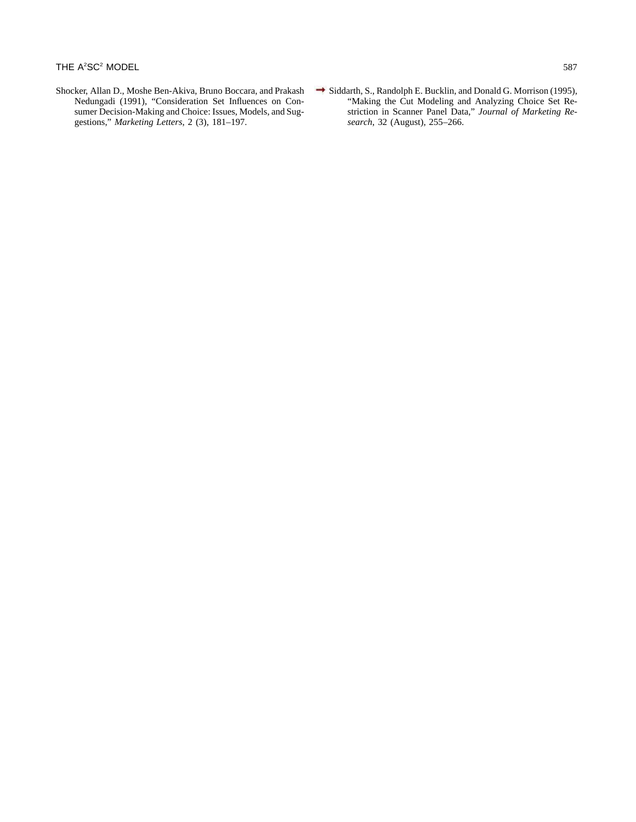- Eagly, Alice H. and Shelly Chaiken (1993), *The Psychology of Attitudes,* Fort Worth, TX: Harcourt Brace Jovanovich.
- Fazio, Russell H. (1990), "A Practical Guide to the Use of Response Latency in Social Psychological Research," in *Review of Personality and Social Psychology*, Vol. 11, *Research Methods in Personality and Social Psychology*, ed. C. Hendrick and M. S. Clark, Newbury Park, CA: Sage, 74–97.
	- (1995), "Attitudes as Object-Evaluation Associations: Determinants, Consequences, and Correlates of Attitude Accessibility," in *Attitude Strength: Antecedents and Consequences*, ed. Richard E. Petty and Jon A. Krosnick, Mahwah, NJ: Lawrence Erlbaum, 247–282.
- Fazio, Russell H., Martha C. Powell, and Carol J. Williams (1989), "The Role of Attitude Accessibility in the Attitude-to-Behavior Process," *Journal of Consumer Research*, 16 (December), 280–288.
	- Fazio, Russell H. and Mark P. Zanna (1981), "Direct Experience and Attitude-Behavior Consistency," in *Advances in Experimental Social Psychology*, Vol. 14, ed. Leonard Berkowitz, New York: Academic Press, 161–202.
	- Haugtvedt, Curtis P., Clark Leavitt, and Wendy Schneier (1993), "Cognitive Strength of Established Brands: Memory, Attitudinal, and Structural Approaches," in *Brand Equity and Advertising*, ed. David Aaker and Alexander Biel, Mahwah, NJ: Lawrence Erlbaum, 247–261.
	- Haugtvedt, Curtis P. and Joseph R. Priester (1997), "Conceptual and Methodological Issues in Advertising Effectiveness: An Attitude Strength Perspective," in *Measuring Advertising Effectiveness*, ed. William Wells, Mahwah, NJ: Lawrence Erlbaum, 79–94.
- Hauser, John R., Glen L. Urban, and Berger D. Weinberg (1993), "How Consumers Allocate Their Time When Searching for Information," *Journal of Marketing Research*, 30 (November), 452–466.
- Hauser, John R. and Berger D. Wernerfelt (1989), "The Competitive Implications of Relevant-Set Response Analysis," *Journal of Marketing Research*, 26 (4), 391–405.
- ——— (1990), "An Evaluation Cost Model of Consideration Sets," *Journal of Consumer Research*, 16 (March), 393–408.
- Heide, Jan B. and Allen M. Weiss (1995), "Vendor Consideration and Switching Behavior for Buyers in High-Technology Markets," *Journal of Marketing*, 59 (July), 30–43.
- Houston, David A. and Russell H. Fazio (1989), "Biased Processing as a Function of Attitude Accessibility: Making Objective Judgments Subjectively," *Social Cognition*, 7 (1), 51–66.
	- Howard, John A. and Jagdish N. Sheth (1969), *The Theory of Buyer Behavior*, New York: Wiley.
	- Kardes, Frank R. (1994), "Consumer Judgment and Decision Processes," in *Handbook of Social Cognition*, Vol. 2, ed. Robert S. Wyer, Jr., and Thomas K. Srull, Hillsdale, NJ: Lawrence Erlbaum, 399–466.
- Kardes, Frank R., Gurumurthy Kalyanaram, Murali Chandrashekaran, and Ronald J. Dornoff (1993), "Brand Retrieval, Consideration Set Composition, Consumer Choice, and the Pioneer Advantage," *Journal of Consumer Research*, 20 (June), 62–75.
	- Kenny, David A., Deborah A. Kashy, and Niall Bolger (1998), "Data Analysis in Social Psychology," in *The Handbook of Social Psychology*, Vol. 1, ed. Daniel T. Gilbert, Susan T. Fiske, and Gardner Lindzey, New York: Oxford University Press, 233–268.
- Maheswaran, Durairaj and Brian Sternthal (1990), "The Effects of

Knowledge, Motivation, and Type of Message on Ad Processing and Product Judgements," *Journal of Consumer Research*, 17 (1), 66–73.

- Marks, Lawrence J. and Michael A. Kamins (1988), "The Use of Product Sampling and Advertising: Effects of Sequence of Exposure and Degree of Advertising Claim Exaggeration on Consumers' Belief Strength, Belief Confidence, and Attitudes," *Journal of Marketing Research*, 25 (August), 266–281.
- Nedungadi, Prakash (1990), "Recall and Consumer Consideration Sets: Influencing Choice without Altering Brand Evaluations," *Journal of Consumer Research*, 17 (December), 263–276.
- Nowlis, Stephen M. and Itamar Simonson (2000), "Sales Promotions and the Choice Context as Competing Influences on Consumer Decision Making," *Journal of Consumer Psychology*, 9 (1), 1–16.
	- Petty, Richard E. and John T. Cacioppo (1981), *Attitudes and Persuasion: Classic and Contemporary Approaches*, Dubuque, Iowa: William C. Brown.
	- (1986), "The Elaboration Likelihood Model of Persuasion," in *Advances in Experimental Social Psychology*, Vol. 19, ed. Leonard Berkowitz, New York: Academic Press, 123–205.
- → Petty, Richard E., John T. Cacioppo, and David Schumann (1983), "Central and Peripheral Routes to Advertising Effectiveness: The Moderating Role of Involvement," *Journal of Consumer Research*, 10 (September), 135–145.
	- Petty, Richard E., Curtis P. Haugtvedt, and Stephen M. Smith (1995), "Elaboration as a Determinant of Attitude Strength: Creating Attitudes That Are Persistent, Resistant, and Predictive of Behavior," in *Attitude Strength: Antecedents and Consequences*, ed. Richard E. Petty and J. Krosnick, Hillsdale, NJ: Lawrence Erlbaum, 93–130.
	- Petty, Richard E. and Jon A. Krosnick, (1995), *Attitude Strength: Antecedents and Consequences*, Hillsdale, NJ: Lawrence Erlbaum.
	- Petty, Richard E. and Duane T. Wegener (1998), "Attitude Change: Multiple Roles for Persuasion Variables," in *Handbook of Social Psychology*, 4th ed., Vol. 1, Boston: McGraw-Hill, 323–390.
- Posavac, Steven S., David M. Sanbonmatsu, and Russell H. Fazio (1997), "Considering the Best Choice: Effects of the Salience and Accessibility of Alternatives on Attitude-Decision Consistency," *Journal of Personality and Social Psychology*, 72 (2), 253–261.
- Priester, Joseph R. and Monique A. Fleming (1997), "Artifact or Meaningful Theoretical Constructs? Examining Evidence for Nonbelief- and Belief-Based Attitude Change Processes," *Journal of Consumer Psychology*, 6 (1), 67–76.
- **Priester, Joseph R. and Richard E. Petty (2003), "The Influence of** Spokesperson Trustworthiness on Message Elaboration, Attitude Strength, and Advertising Effectivenes," *Journal of Consumer Psychology*, 13 (4), 408–421.
- Roberts, John H. and James M. Lattin (1991), "Development and Testing of a Model of Consideration Set Composition," *Journal of Marketing Research*, 28 (November), 29–440.
- ——— (1997), "Consideration: Review of Research and Prospects for Future Insights," *Journal of Marketing Research*, 34 (August), 406–410.
- Roskos-Ewoldsen, David R. and Russell H. Fazio (1992), "On the Orienting Value of Attitudes: Attitude Accessibility as a Determinant of an Object's Attraction of Visual Stimulation," *Journal of Personality and Social Psychology*, 63 (2), 198–211.